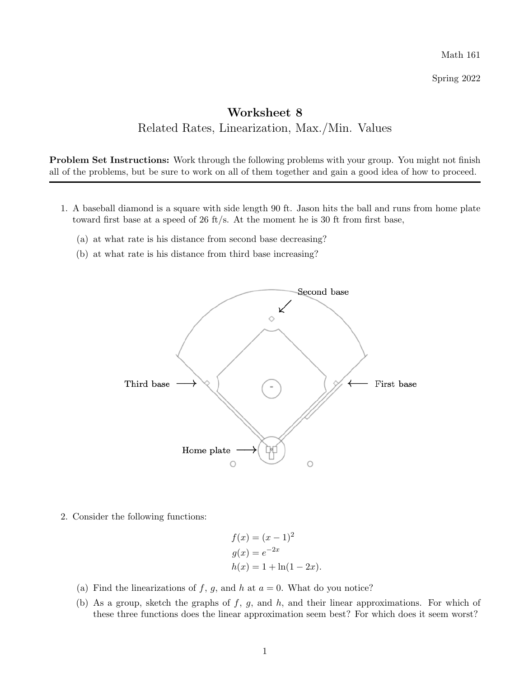Math 161

Spring 2022

## Worksheet 8 Related Rates, Linearization, Max./Min. Values

Problem Set Instructions: Work through the following problems with your group. You might not finish all of the problems, but be sure to work on all of them together and gain a good idea of how to proceed.

- 1. A baseball diamond is a square with side length 90 ft. Jason hits the ball and runs from home plate toward first base at a speed of 26 ft/s. At the moment he is 30 ft from first base,
	- (a) at what rate is his distance from second base decreasing?
	- (b) at what rate is his distance from third base increasing?



2. Consider the following functions:

$$
f(x) = (x - 1)^{2}
$$
  
\n
$$
g(x) = e^{-2x}
$$
  
\n
$$
h(x) = 1 + \ln(1 - 2x).
$$

- (a) Find the linearizations of  $f$ ,  $g$ , and  $h$  at  $a = 0$ . What do you notice?
- (b) As a group, sketch the graphs of *f*, *g*, and *h*, and their linear approximations. For which of these three functions does the linear approximation seem best? For which does it seem worst?